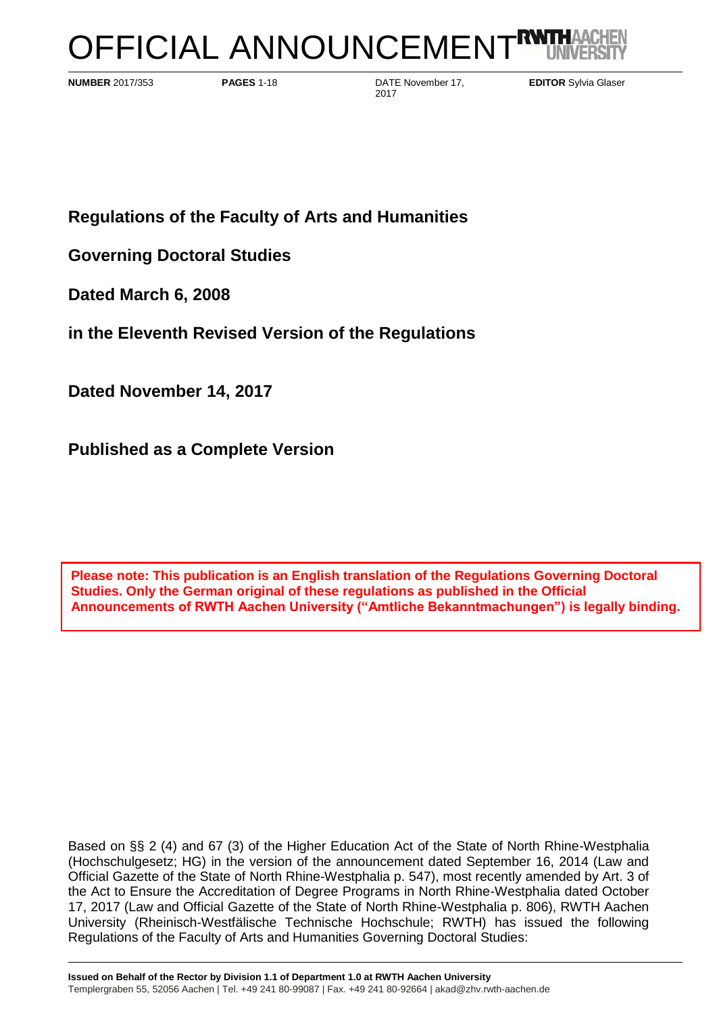# OFFICIAL ANNOUNCEMENT<sup>RY</sup>

**NUMBER** 2017/353 **PAGES** 1-18 DATE November 17, 2017

**EDITOR** Sylvia Glaser

**Regulations of the Faculty of Arts and Humanities**

**Governing Doctoral Studies** 

**Dated March 6, 2008**

**in the Eleventh Revised Version of the Regulations**

**Dated November 14, 2017**

**Published as a Complete Version**

**Please note: This publication is an English translation of the Regulations Governing Doctoral Studies. Only the German original of these regulations as published in the Official Announcements of RWTH Aachen University ("Amtliche Bekanntmachungen") is legally binding.**

Based on §§ 2 (4) and 67 (3) of the Higher Education Act of the State of North Rhine-Westphalia (Hochschulgesetz; HG) in the version of the announcement dated September 16, 2014 (Law and Official Gazette of the State of North Rhine-Westphalia p. 547), most recently amended by Art. 3 of the Act to Ensure the Accreditation of Degree Programs in North Rhine-Westphalia dated October 17, 2017 (Law and Official Gazette of the State of North Rhine-Westphalia p. 806), RWTH Aachen University (Rheinisch-Westfälische Technische Hochschule; RWTH) has issued the following Regulations of the Faculty of Arts and Humanities Governing Doctoral Studies: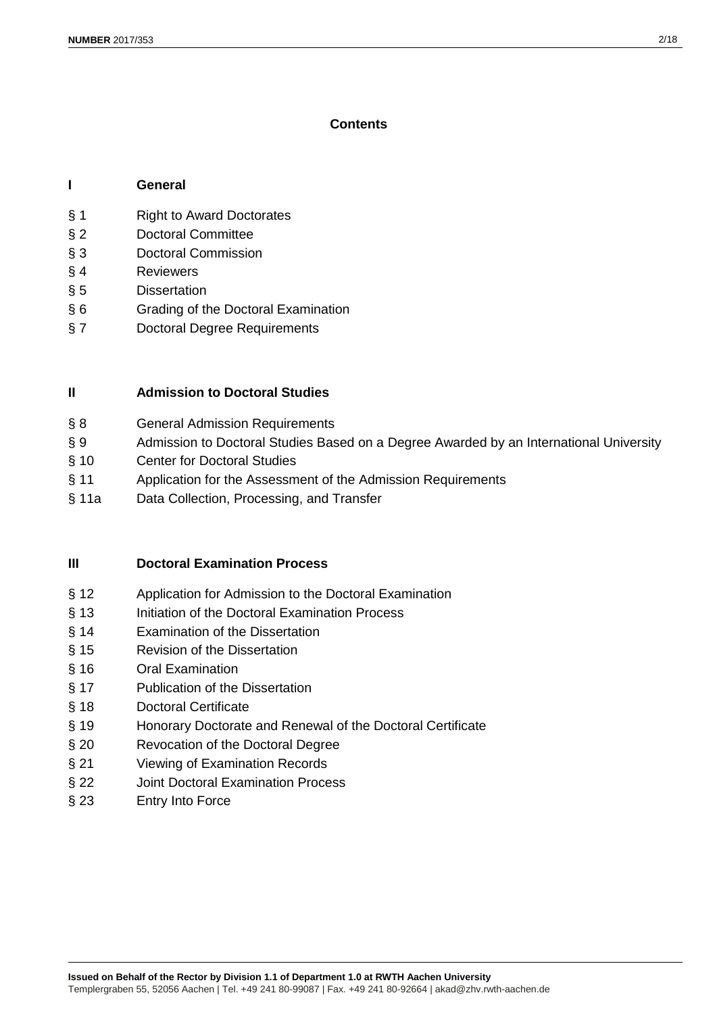## **Contents**

## **I General**

- § 1 Right to Award Doctorates
- § 2 Doctoral Committee
- § 3 Doctoral Commission
- § 4 Reviewers
- § 5 Dissertation
- § 6 Grading of the Doctoral Examination
- § 7 Doctoral Degree Requirements

## **II Admission to Doctoral Studies**

- § 8 **General Admission Requirements**
- § 9 Admission to Doctoral Studies Based on a Degree Awarded by an International University
- § 10 Center for Doctoral Studies
- § 11 Application for the Assessment of the Admission Requirements
- § 11a Data Collection, Processing, and Transfer

## **III Doctoral Examination Process**

- § 12 Application for Admission to the Doctoral Examination
- § 13 Initiation of the Doctoral Examination Process
- § 14 Examination of the Dissertation
- § 15 Revision of the Dissertation
- § 16 Oral Examination
- § 17 Publication of the Dissertation
- § 18 Doctoral Certificate
- § 19 Honorary Doctorate and Renewal of the Doctoral Certificate
- § 20 Revocation of the Doctoral Degree
- § 21 Viewing of Examination Records
- § 22 Joint Doctoral Examination Process
- § 23 Entry Into Force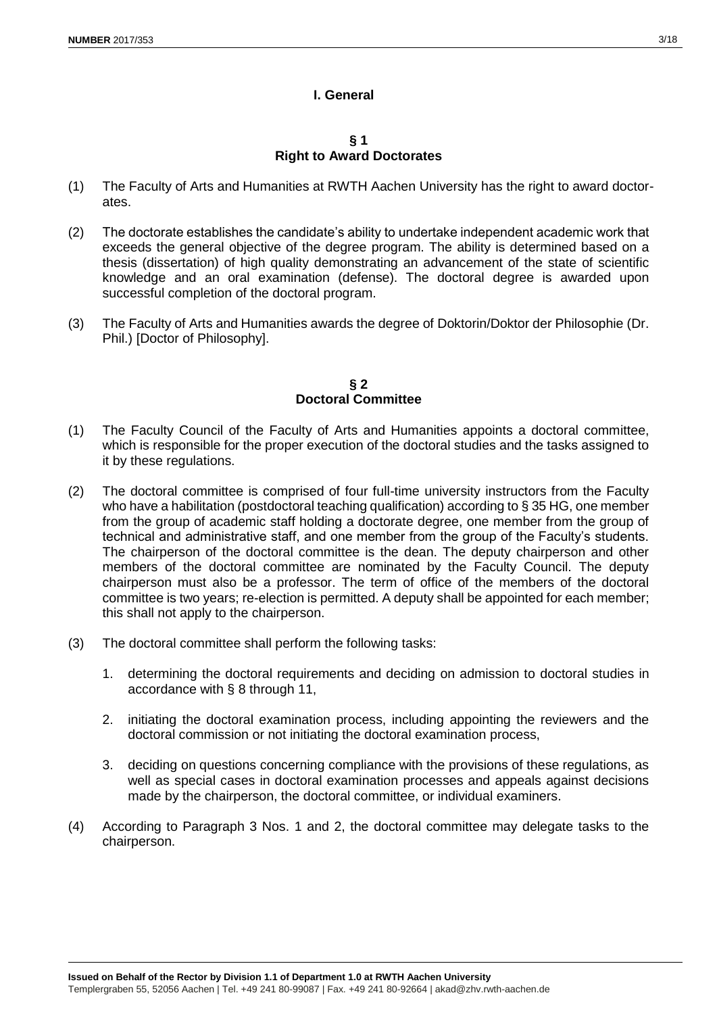## **I. General**

#### **§ 1 Right to Award Doctorates**

- (1) The Faculty of Arts and Humanities at RWTH Aachen University has the right to award doctorates.
- (2) The doctorate establishes the candidate's ability to undertake independent academic work that exceeds the general objective of the degree program. The ability is determined based on a thesis (dissertation) of high quality demonstrating an advancement of the state of scientific knowledge and an oral examination (defense). The doctoral degree is awarded upon successful completion of the doctoral program.
- (3) The Faculty of Arts and Humanities awards the degree of Doktorin/Doktor der Philosophie (Dr. Phil.) [Doctor of Philosophy].

#### **§ 2 Doctoral Committee**

- (1) The Faculty Council of the Faculty of Arts and Humanities appoints a doctoral committee, which is responsible for the proper execution of the doctoral studies and the tasks assigned to it by these regulations.
- (2) The doctoral committee is comprised of four full-time university instructors from the Faculty who have a habilitation (postdoctoral teaching qualification) according to § 35 HG, one member from the group of academic staff holding a doctorate degree, one member from the group of technical and administrative staff, and one member from the group of the Faculty's students. The chairperson of the doctoral committee is the dean. The deputy chairperson and other members of the doctoral committee are nominated by the Faculty Council. The deputy chairperson must also be a professor. The term of office of the members of the doctoral committee is two years; re-election is permitted. A deputy shall be appointed for each member; this shall not apply to the chairperson.
- (3) The doctoral committee shall perform the following tasks:
	- 1. determining the doctoral requirements and deciding on admission to doctoral studies in accordance with § 8 through 11,
	- 2. initiating the doctoral examination process, including appointing the reviewers and the doctoral commission or not initiating the doctoral examination process,
	- 3. deciding on questions concerning compliance with the provisions of these regulations, as well as special cases in doctoral examination processes and appeals against decisions made by the chairperson, the doctoral committee, or individual examiners.
- (4) According to Paragraph 3 Nos. 1 and 2, the doctoral committee may delegate tasks to the chairperson.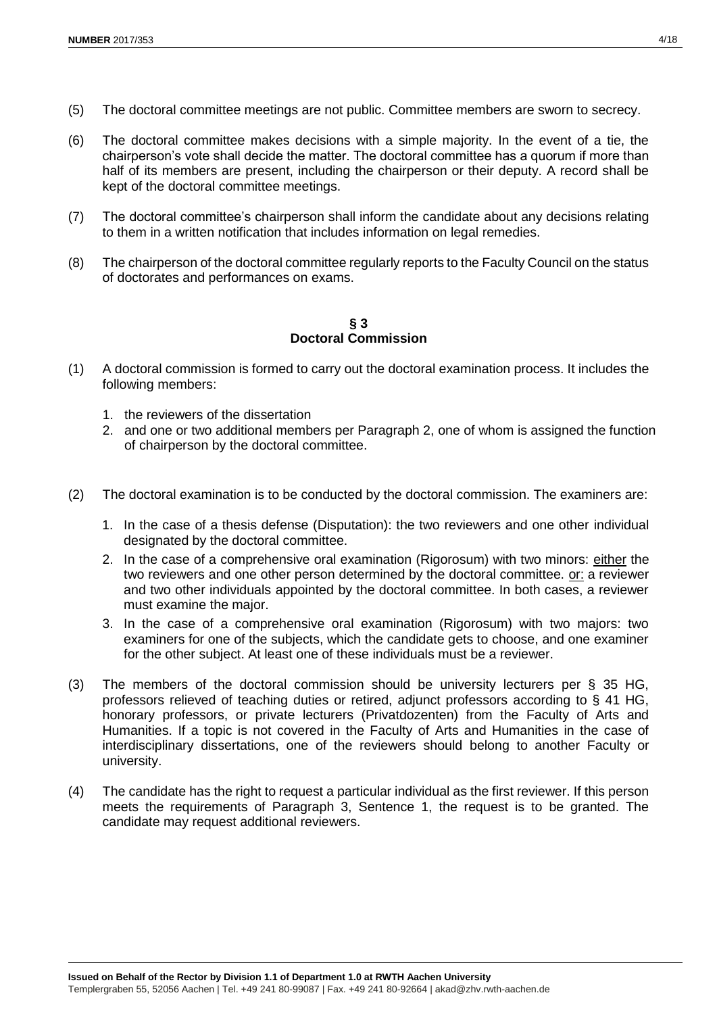- (5) The doctoral committee meetings are not public. Committee members are sworn to secrecy.
- (6) The doctoral committee makes decisions with a simple majority. In the event of a tie, the chairperson's vote shall decide the matter. The doctoral committee has a quorum if more than half of its members are present, including the chairperson or their deputy. A record shall be kept of the doctoral committee meetings.
- (7) The doctoral committee's chairperson shall inform the candidate about any decisions relating to them in a written notification that includes information on legal remedies.
- (8) The chairperson of the doctoral committee regularly reports to the Faculty Council on the status of doctorates and performances on exams.

**§ 3 Doctoral Commission**

- (1) A doctoral commission is formed to carry out the doctoral examination process. It includes the following members:
	- 1. the reviewers of the dissertation
	- 2. and one or two additional members per Paragraph 2, one of whom is assigned the function of chairperson by the doctoral committee.
- (2) The doctoral examination is to be conducted by the doctoral commission. The examiners are:
	- 1. In the case of a thesis defense (Disputation): the two reviewers and one other individual designated by the doctoral committee.
	- 2. In the case of a comprehensive oral examination (Rigorosum) with two minors: either the two reviewers and one other person determined by the doctoral committee. or: a reviewer and two other individuals appointed by the doctoral committee. In both cases, a reviewer must examine the major.
	- 3. In the case of a comprehensive oral examination (Rigorosum) with two majors: two examiners for one of the subjects, which the candidate gets to choose, and one examiner for the other subject. At least one of these individuals must be a reviewer.
- (3) The members of the doctoral commission should be university lecturers per § 35 HG, professors relieved of teaching duties or retired, adjunct professors according to § 41 HG, honorary professors, or private lecturers (Privatdozenten) from the Faculty of Arts and Humanities. If a topic is not covered in the Faculty of Arts and Humanities in the case of interdisciplinary dissertations, one of the reviewers should belong to another Faculty or university.
- (4) The candidate has the right to request a particular individual as the first reviewer. If this person meets the requirements of Paragraph 3, Sentence 1, the request is to be granted. The candidate may request additional reviewers.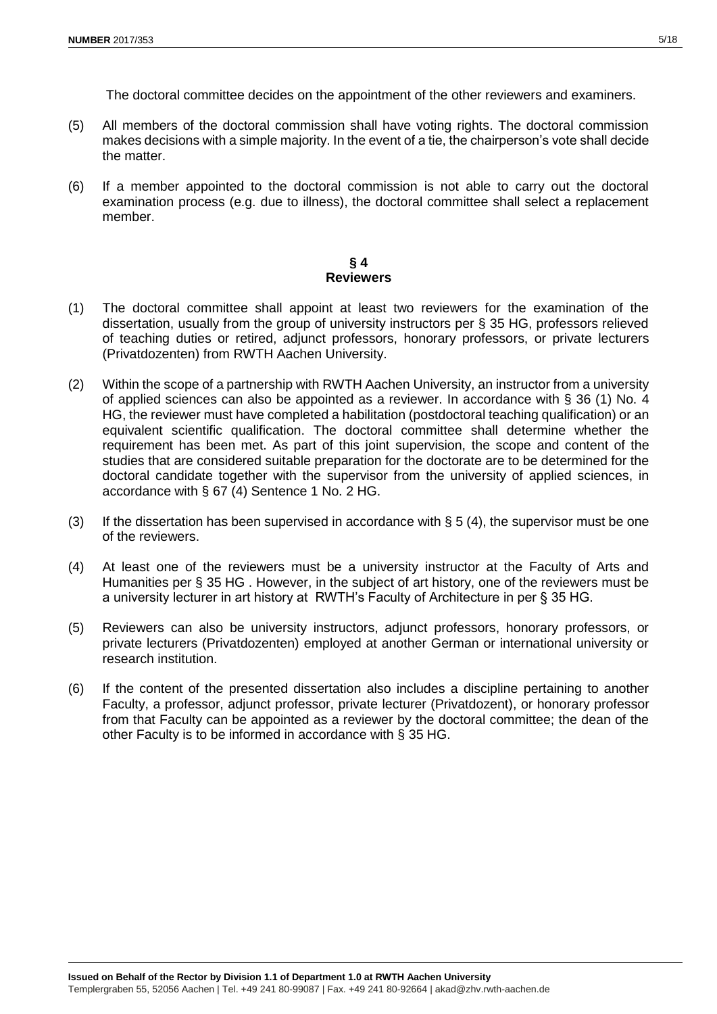The doctoral committee decides on the appointment of the other reviewers and examiners.

- (5) All members of the doctoral commission shall have voting rights. The doctoral commission makes decisions with a simple majority. In the event of a tie, the chairperson's vote shall decide the matter.
- (6) If a member appointed to the doctoral commission is not able to carry out the doctoral examination process (e.g. due to illness), the doctoral committee shall select a replacement member.

#### **§ 4 Reviewers**

- (1) The doctoral committee shall appoint at least two reviewers for the examination of the dissertation, usually from the group of university instructors per § 35 HG, professors relieved of teaching duties or retired, adjunct professors, honorary professors, or private lecturers (Privatdozenten) from RWTH Aachen University.
- (2) Within the scope of a partnership with RWTH Aachen University, an instructor from a university of applied sciences can also be appointed as a reviewer. In accordance with § 36 (1) No. 4 HG, the reviewer must have completed a habilitation (postdoctoral teaching qualification) or an equivalent scientific qualification. The doctoral committee shall determine whether the requirement has been met. As part of this joint supervision, the scope and content of the studies that are considered suitable preparation for the doctorate are to be determined for the doctoral candidate together with the supervisor from the university of applied sciences, in accordance with § 67 (4) Sentence 1 No. 2 HG.
- (3) If the dissertation has been supervised in accordance with  $\S 5 (4)$ , the supervisor must be one of the reviewers.
- (4) At least one of the reviewers must be a university instructor at the Faculty of Arts and Humanities per § 35 HG . However, in the subject of art history, one of the reviewers must be a university lecturer in art history at RWTH's Faculty of Architecture in per § 35 HG.
- (5) Reviewers can also be university instructors, adjunct professors, honorary professors, or private lecturers (Privatdozenten) employed at another German or international university or research institution.
- (6) If the content of the presented dissertation also includes a discipline pertaining to another Faculty, a professor, adjunct professor, private lecturer (Privatdozent), or honorary professor from that Faculty can be appointed as a reviewer by the doctoral committee; the dean of the other Faculty is to be informed in accordance with § 35 HG.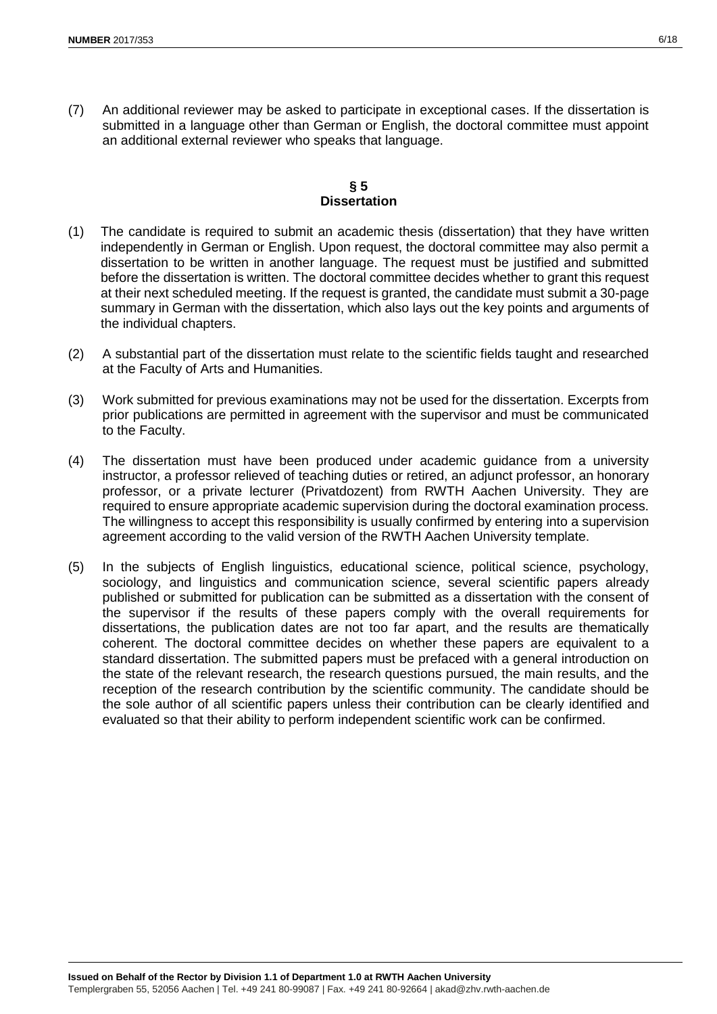(7) An additional reviewer may be asked to participate in exceptional cases. If the dissertation is submitted in a language other than German or English, the doctoral committee must appoint an additional external reviewer who speaks that language.

## **§ 5 Dissertation**

- (1) The candidate is required to submit an academic thesis (dissertation) that they have written independently in German or English. Upon request, the doctoral committee may also permit a dissertation to be written in another language. The request must be justified and submitted before the dissertation is written. The doctoral committee decides whether to grant this request at their next scheduled meeting. If the request is granted, the candidate must submit a 30-page summary in German with the dissertation, which also lays out the key points and arguments of the individual chapters.
- (2) A substantial part of the dissertation must relate to the scientific fields taught and researched at the Faculty of Arts and Humanities.
- (3) Work submitted for previous examinations may not be used for the dissertation. Excerpts from prior publications are permitted in agreement with the supervisor and must be communicated to the Faculty.
- (4) The dissertation must have been produced under academic guidance from a university instructor, a professor relieved of teaching duties or retired, an adjunct professor, an honorary professor, or a private lecturer (Privatdozent) from RWTH Aachen University. They are required to ensure appropriate academic supervision during the doctoral examination process. The willingness to accept this responsibility is usually confirmed by entering into a supervision agreement according to the valid version of the RWTH Aachen University template.
- (5) In the subjects of English linguistics, educational science, political science, psychology, sociology, and linguistics and communication science, several scientific papers already published or submitted for publication can be submitted as a dissertation with the consent of the supervisor if the results of these papers comply with the overall requirements for dissertations, the publication dates are not too far apart, and the results are thematically coherent. The doctoral committee decides on whether these papers are equivalent to a standard dissertation. The submitted papers must be prefaced with a general introduction on the state of the relevant research, the research questions pursued, the main results, and the reception of the research contribution by the scientific community. The candidate should be the sole author of all scientific papers unless their contribution can be clearly identified and evaluated so that their ability to perform independent scientific work can be confirmed.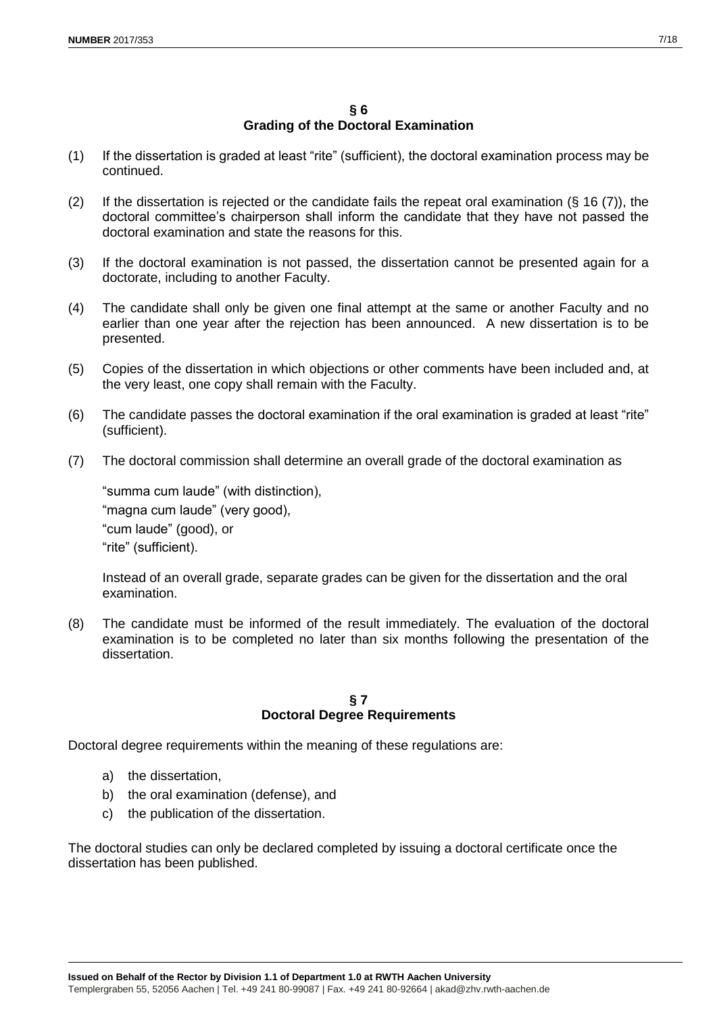## **§ 6 Grading of the Doctoral Examination**

- (1) If the dissertation is graded at least "rite" (sufficient), the doctoral examination process may be continued.
- (2) If the dissertation is rejected or the candidate fails the repeat oral examination  $(\S 16 (7))$ , the doctoral committee's chairperson shall inform the candidate that they have not passed the doctoral examination and state the reasons for this.
- (3) If the doctoral examination is not passed, the dissertation cannot be presented again for a doctorate, including to another Faculty.
- (4) The candidate shall only be given one final attempt at the same or another Faculty and no earlier than one year after the rejection has been announced. A new dissertation is to be presented.
- (5) Copies of the dissertation in which objections or other comments have been included and, at the very least, one copy shall remain with the Faculty.
- (6) The candidate passes the doctoral examination if the oral examination is graded at least "rite" (sufficient).
- (7) The doctoral commission shall determine an overall grade of the doctoral examination as

"summa cum laude" (with distinction), "magna cum laude" (very good), "cum laude" (good), or "rite" (sufficient).

Instead of an overall grade, separate grades can be given for the dissertation and the oral examination.

(8) The candidate must be informed of the result immediately. The evaluation of the doctoral examination is to be completed no later than six months following the presentation of the dissertation.

## **§ 7 Doctoral Degree Requirements**

Doctoral degree requirements within the meaning of these regulations are:

- a) the dissertation,
- b) the oral examination (defense), and
- c) the publication of the dissertation.

The doctoral studies can only be declared completed by issuing a doctoral certificate once the dissertation has been published.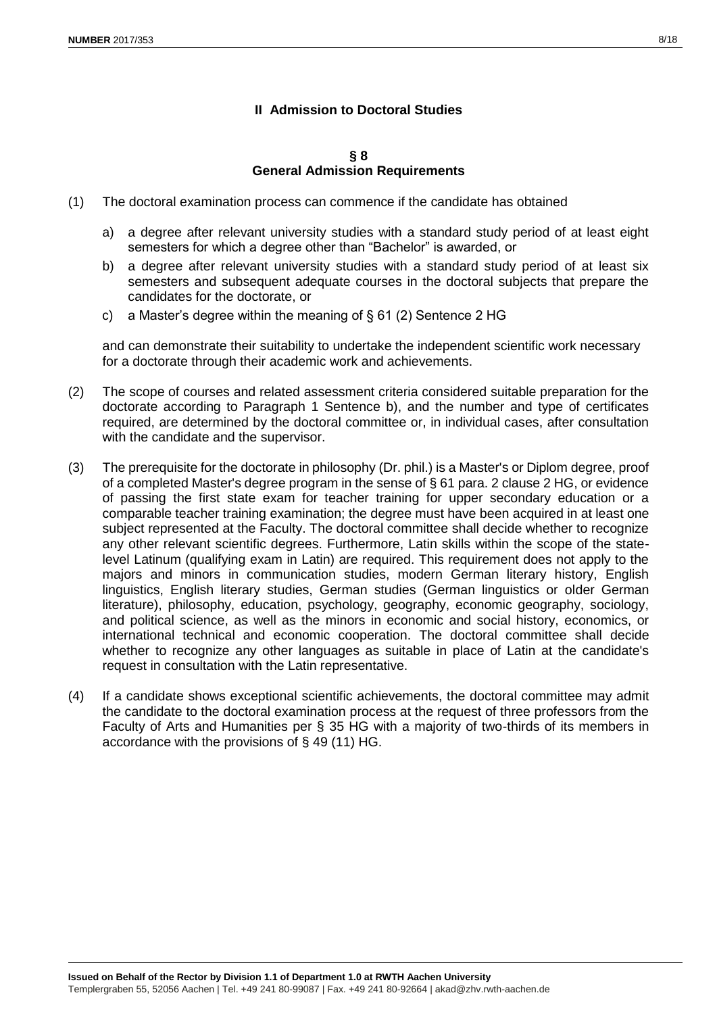## **II Admission to Doctoral Studies**

**§ 8 General Admission Requirements**

- (1) The doctoral examination process can commence if the candidate has obtained
	- a) a degree after relevant university studies with a standard study period of at least eight semesters for which a degree other than "Bachelor" is awarded, or
	- b) a degree after relevant university studies with a standard study period of at least six semesters and subsequent adequate courses in the doctoral subjects that prepare the candidates for the doctorate, or
	- c) a Master's degree within the meaning of § 61 (2) Sentence 2 HG

and can demonstrate their suitability to undertake the independent scientific work necessary for a doctorate through their academic work and achievements.

- (2) The scope of courses and related assessment criteria considered suitable preparation for the doctorate according to Paragraph 1 Sentence b), and the number and type of certificates required, are determined by the doctoral committee or, in individual cases, after consultation with the candidate and the supervisor.
- (3) The prerequisite for the doctorate in philosophy (Dr. phil.) is a Master's or Diplom degree, proof of a completed Master's degree program in the sense of § 61 para. 2 clause 2 HG, or evidence of passing the first state exam for teacher training for upper secondary education or a comparable teacher training examination; the degree must have been acquired in at least one subject represented at the Faculty. The doctoral committee shall decide whether to recognize any other relevant scientific degrees. Furthermore, Latin skills within the scope of the statelevel Latinum (qualifying exam in Latin) are required. This requirement does not apply to the majors and minors in communication studies, modern German literary history, English linguistics, English literary studies, German studies (German linguistics or older German literature), philosophy, education, psychology, geography, economic geography, sociology, and political science, as well as the minors in economic and social history, economics, or international technical and economic cooperation. The doctoral committee shall decide whether to recognize any other languages as suitable in place of Latin at the candidate's request in consultation with the Latin representative.
- (4) If a candidate shows exceptional scientific achievements, the doctoral committee may admit the candidate to the doctoral examination process at the request of three professors from the Faculty of Arts and Humanities per § 35 HG with a majority of two-thirds of its members in accordance with the provisions of § 49 (11) HG.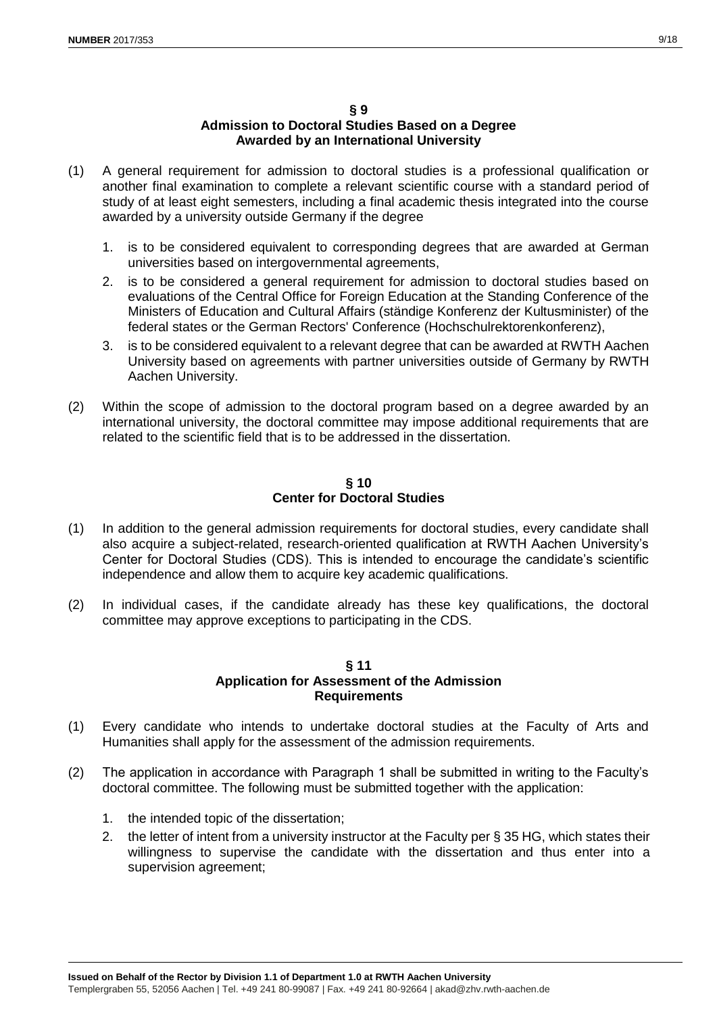#### **§ 9**

## **Admission to Doctoral Studies Based on a Degree Awarded by an International University**

- (1) A general requirement for admission to doctoral studies is a professional qualification or another final examination to complete a relevant scientific course with a standard period of study of at least eight semesters, including a final academic thesis integrated into the course awarded by a university outside Germany if the degree
	- 1. is to be considered equivalent to corresponding degrees that are awarded at German universities based on intergovernmental agreements,
	- 2. is to be considered a general requirement for admission to doctoral studies based on evaluations of the Central Office for Foreign Education at the Standing Conference of the Ministers of Education and Cultural Affairs (ständige Konferenz der Kultusminister) of the federal states or the German Rectors' Conference (Hochschulrektorenkonferenz),
	- 3. is to be considered equivalent to a relevant degree that can be awarded at RWTH Aachen University based on agreements with partner universities outside of Germany by RWTH Aachen University.
- (2) Within the scope of admission to the doctoral program based on a degree awarded by an international university, the doctoral committee may impose additional requirements that are related to the scientific field that is to be addressed in the dissertation.

#### **§ 10 Center for Doctoral Studies**

- (1) In addition to the general admission requirements for doctoral studies, every candidate shall also acquire a subject-related, research-oriented qualification at RWTH Aachen University's Center for Doctoral Studies (CDS). This is intended to encourage the candidate's scientific independence and allow them to acquire key academic qualifications.
- (2) In individual cases, if the candidate already has these key qualifications, the doctoral committee may approve exceptions to participating in the CDS.

#### **§ 11 Application for Assessment of the Admission Requirements**

- (1) Every candidate who intends to undertake doctoral studies at the Faculty of Arts and Humanities shall apply for the assessment of the admission requirements.
- (2) The application in accordance with Paragraph 1 shall be submitted in writing to the Faculty's doctoral committee. The following must be submitted together with the application:
	- 1. the intended topic of the dissertation;
	- 2. the letter of intent from a university instructor at the Faculty per § 35 HG, which states their willingness to supervise the candidate with the dissertation and thus enter into a supervision agreement;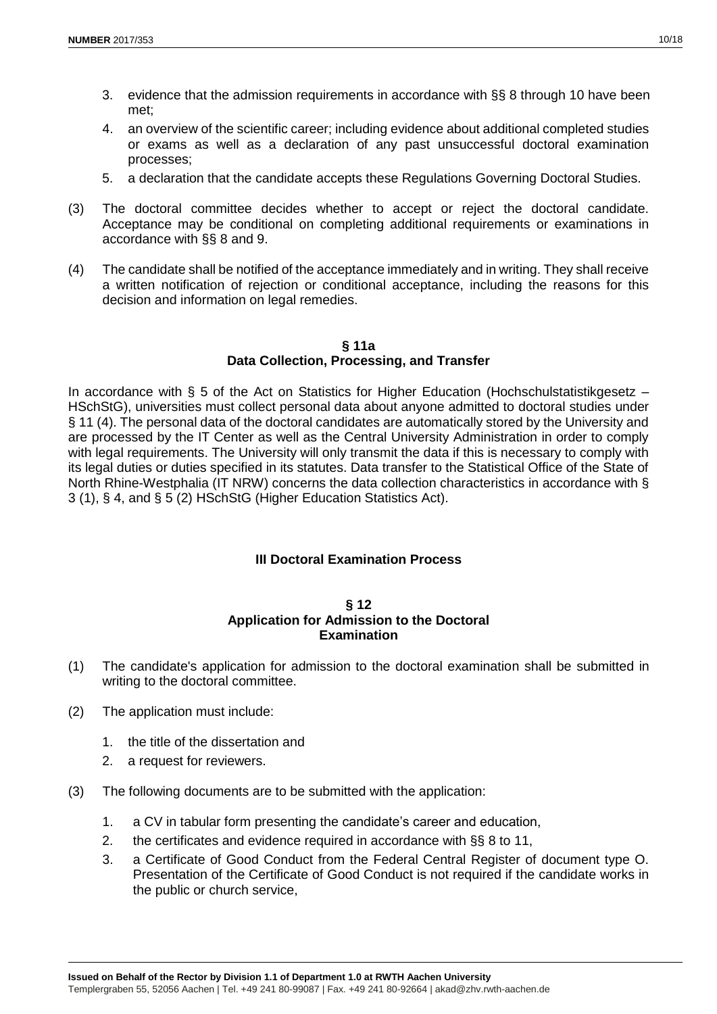- 3. evidence that the admission requirements in accordance with §§ 8 through 10 have been met;
- 4. an overview of the scientific career; including evidence about additional completed studies or exams as well as a declaration of any past unsuccessful doctoral examination processes;
- 5. a declaration that the candidate accepts these Regulations Governing Doctoral Studies.
- (3) The doctoral committee decides whether to accept or reject the doctoral candidate. Acceptance may be conditional on completing additional requirements or examinations in accordance with §§ 8 and 9.
- (4) The candidate shall be notified of the acceptance immediately and in writing. They shall receive a written notification of rejection or conditional acceptance, including the reasons for this decision and information on legal remedies.

#### **§ 11a Data Collection, Processing, and Transfer**

In accordance with § 5 of the Act on Statistics for Higher Education (Hochschulstatistikgesetz – HSchStG), universities must collect personal data about anyone admitted to doctoral studies under § 11 (4). The personal data of the doctoral candidates are automatically stored by the University and are processed by the IT Center as well as the Central University Administration in order to comply with legal requirements. The University will only transmit the data if this is necessary to comply with its legal duties or duties specified in its statutes. Data transfer to the Statistical Office of the State of North Rhine-Westphalia (IT NRW) concerns the data collection characteristics in accordance with § 3 (1), § 4, and § 5 (2) HSchStG (Higher Education Statistics Act).

## **III Doctoral Examination Process**

#### **§ 12 Application for Admission to the Doctoral Examination**

- (1) The candidate's application for admission to the doctoral examination shall be submitted in writing to the doctoral committee.
- (2) The application must include:
	- 1. the title of the dissertation and
	- 2. a request for reviewers.
- (3) The following documents are to be submitted with the application:
	- 1. a CV in tabular form presenting the candidate's career and education,
	- 2. the certificates and evidence required in accordance with §§ 8 to 11,
	- 3. a Certificate of Good Conduct from the Federal Central Register of document type O. Presentation of the Certificate of Good Conduct is not required if the candidate works in the public or church service,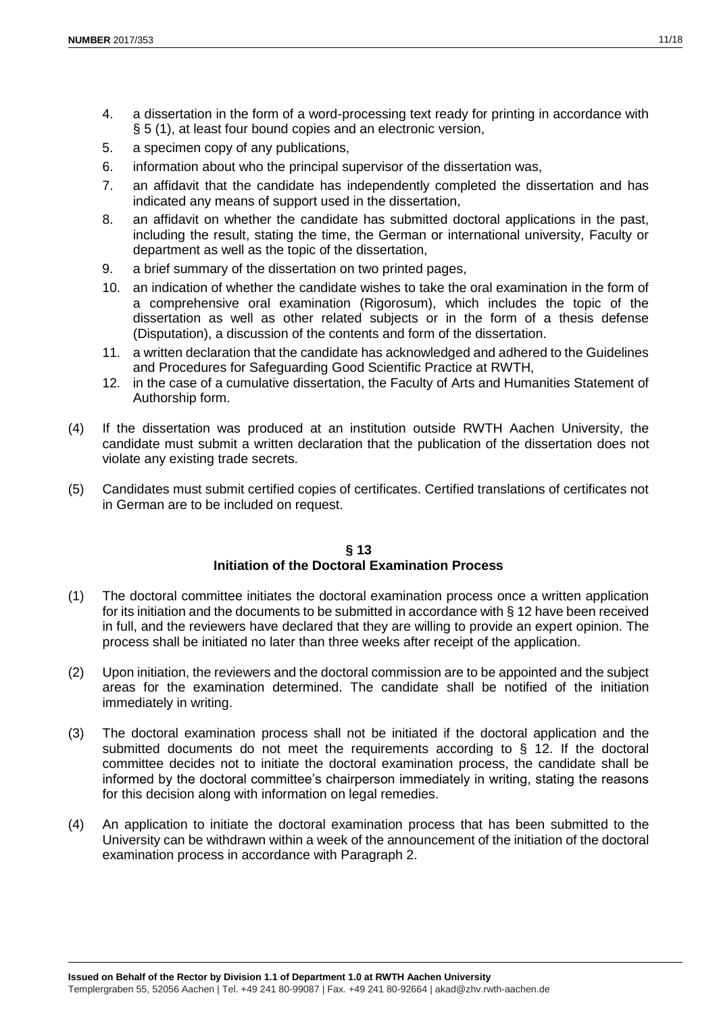- 4. a dissertation in the form of a word-processing text ready for printing in accordance with § 5 (1), at least four bound copies and an electronic version,
- 5. a specimen copy of any publications,
- 6. information about who the principal supervisor of the dissertation was,
- 7. an affidavit that the candidate has independently completed the dissertation and has indicated any means of support used in the dissertation,
- 8. an affidavit on whether the candidate has submitted doctoral applications in the past, including the result, stating the time, the German or international university, Faculty or department as well as the topic of the dissertation,
- 9. a brief summary of the dissertation on two printed pages,
- 10. an indication of whether the candidate wishes to take the oral examination in the form of a comprehensive oral examination (Rigorosum), which includes the topic of the dissertation as well as other related subjects or in the form of a thesis defense (Disputation), a discussion of the contents and form of the dissertation.
- 11. a written declaration that the candidate has acknowledged and adhered to the Guidelines and Procedures for Safeguarding Good Scientific Practice at RWTH,
- 12. in the case of a cumulative dissertation, the Faculty of Arts and Humanities Statement of Authorship form.
- (4) If the dissertation was produced at an institution outside RWTH Aachen University, the candidate must submit a written declaration that the publication of the dissertation does not violate any existing trade secrets.
- (5) Candidates must submit certified copies of certificates. Certified translations of certificates not in German are to be included on request.

#### **§ 13 Initiation of the Doctoral Examination Process**

- (1) The doctoral committee initiates the doctoral examination process once a written application for its initiation and the documents to be submitted in accordance with § 12 have been received in full, and the reviewers have declared that they are willing to provide an expert opinion. The process shall be initiated no later than three weeks after receipt of the application.
- (2) Upon initiation, the reviewers and the doctoral commission are to be appointed and the subject areas for the examination determined. The candidate shall be notified of the initiation immediately in writing.
- (3) The doctoral examination process shall not be initiated if the doctoral application and the submitted documents do not meet the requirements according to  $\S$  12. If the doctoral committee decides not to initiate the doctoral examination process, the candidate shall be informed by the doctoral committee's chairperson immediately in writing, stating the reasons for this decision along with information on legal remedies.
- (4) An application to initiate the doctoral examination process that has been submitted to the University can be withdrawn within a week of the announcement of the initiation of the doctoral examination process in accordance with Paragraph 2.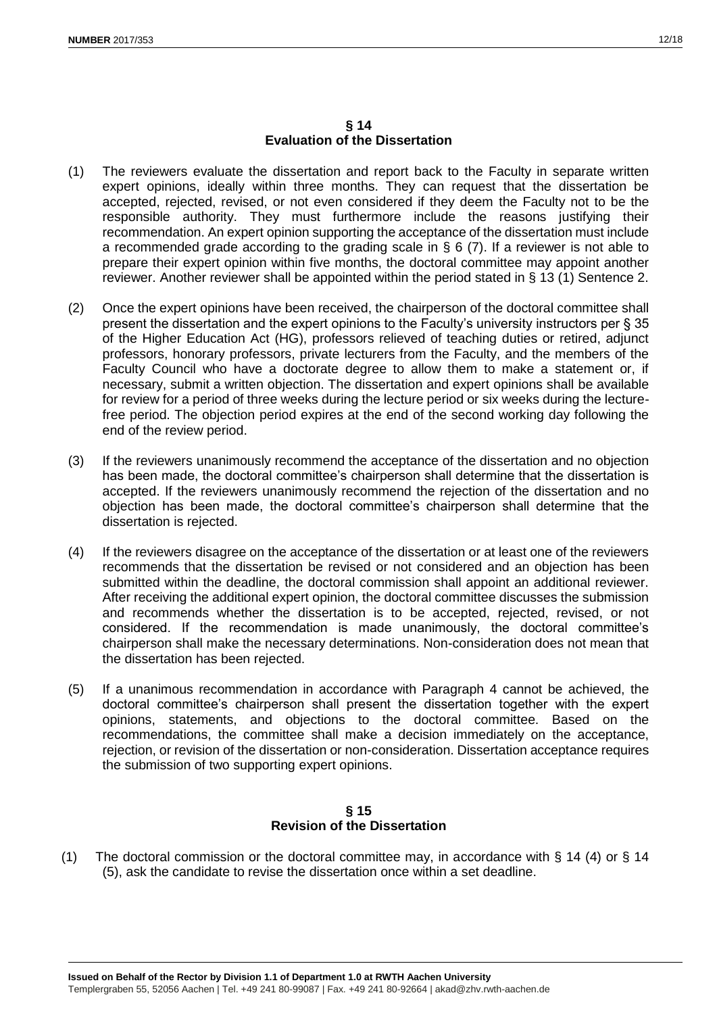#### **§ 14 Evaluation of the Dissertation**

- (1) The reviewers evaluate the dissertation and report back to the Faculty in separate written expert opinions, ideally within three months. They can request that the dissertation be accepted, rejected, revised, or not even considered if they deem the Faculty not to be the responsible authority. They must furthermore include the reasons justifying their recommendation. An expert opinion supporting the acceptance of the dissertation must include a recommended grade according to the grading scale in  $\S 6$  (7). If a reviewer is not able to prepare their expert opinion within five months, the doctoral committee may appoint another reviewer. Another reviewer shall be appointed within the period stated in § 13 (1) Sentence 2.
- (2) Once the expert opinions have been received, the chairperson of the doctoral committee shall present the dissertation and the expert opinions to the Faculty's university instructors per § 35 of the Higher Education Act (HG), professors relieved of teaching duties or retired, adjunct professors, honorary professors, private lecturers from the Faculty, and the members of the Faculty Council who have a doctorate degree to allow them to make a statement or, if necessary, submit a written objection. The dissertation and expert opinions shall be available for review for a period of three weeks during the lecture period or six weeks during the lecturefree period. The objection period expires at the end of the second working day following the end of the review period.
- (3) If the reviewers unanimously recommend the acceptance of the dissertation and no objection has been made, the doctoral committee's chairperson shall determine that the dissertation is accepted. If the reviewers unanimously recommend the rejection of the dissertation and no objection has been made, the doctoral committee's chairperson shall determine that the dissertation is rejected.
- (4) If the reviewers disagree on the acceptance of the dissertation or at least one of the reviewers recommends that the dissertation be revised or not considered and an objection has been submitted within the deadline, the doctoral commission shall appoint an additional reviewer. After receiving the additional expert opinion, the doctoral committee discusses the submission and recommends whether the dissertation is to be accepted, rejected, revised, or not considered. If the recommendation is made unanimously, the doctoral committee's chairperson shall make the necessary determinations. Non-consideration does not mean that the dissertation has been rejected.
- (5) If a unanimous recommendation in accordance with Paragraph 4 cannot be achieved, the doctoral committee's chairperson shall present the dissertation together with the expert opinions, statements, and objections to the doctoral committee. Based on the recommendations, the committee shall make a decision immediately on the acceptance, rejection, or revision of the dissertation or non-consideration. Dissertation acceptance requires the submission of two supporting expert opinions.

## **§ 15 Revision of the Dissertation**

(1) The doctoral commission or the doctoral committee may, in accordance with § 14 (4) or § 14 (5), ask the candidate to revise the dissertation once within a set deadline.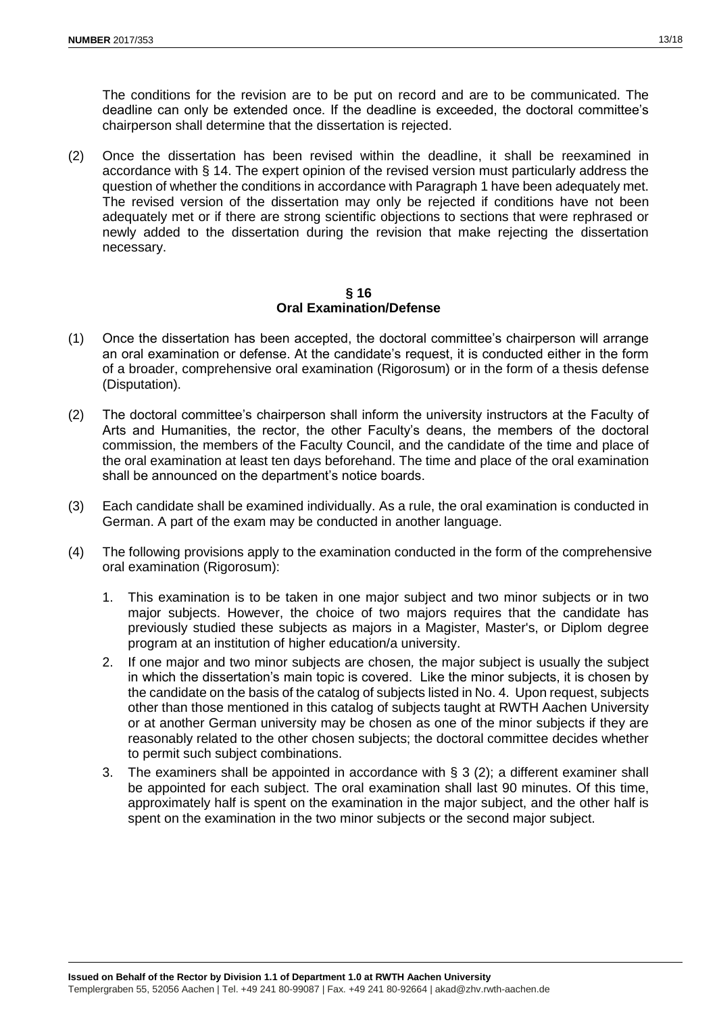The conditions for the revision are to be put on record and are to be communicated. The deadline can only be extended once. If the deadline is exceeded, the doctoral committee's chairperson shall determine that the dissertation is rejected.

(2) Once the dissertation has been revised within the deadline, it shall be reexamined in accordance with § 14. The expert opinion of the revised version must particularly address the question of whether the conditions in accordance with Paragraph 1 have been adequately met. The revised version of the dissertation may only be rejected if conditions have not been adequately met or if there are strong scientific objections to sections that were rephrased or newly added to the dissertation during the revision that make rejecting the dissertation necessary.

#### **§ 16 Oral Examination/Defense**

- (1) Once the dissertation has been accepted, the doctoral committee's chairperson will arrange an oral examination or defense. At the candidate's request, it is conducted either in the form of a broader, comprehensive oral examination (Rigorosum) or in the form of a thesis defense (Disputation).
- (2) The doctoral committee's chairperson shall inform the university instructors at the Faculty of Arts and Humanities, the rector, the other Faculty's deans, the members of the doctoral commission, the members of the Faculty Council, and the candidate of the time and place of the oral examination at least ten days beforehand. The time and place of the oral examination shall be announced on the department's notice boards.
- (3) Each candidate shall be examined individually. As a rule, the oral examination is conducted in German. A part of the exam may be conducted in another language.
- (4) The following provisions apply to the examination conducted in the form of the comprehensive oral examination (Rigorosum):
	- 1. This examination is to be taken in one major subject and two minor subjects or in two major subjects. However, the choice of two majors requires that the candidate has previously studied these subjects as majors in a Magister, Master's, or Diplom degree program at an institution of higher education/a university.
	- 2. If one major and two minor subjects are chosen*,* the major subject is usually the subject in which the dissertation's main topic is covered. Like the minor subjects, it is chosen by the candidate on the basis of the catalog of subjects listed in No. 4. Upon request, subjects other than those mentioned in this catalog of subjects taught at RWTH Aachen University or at another German university may be chosen as one of the minor subjects if they are reasonably related to the other chosen subjects; the doctoral committee decides whether to permit such subject combinations.
	- 3. The examiners shall be appointed in accordance with § 3 (2); a different examiner shall be appointed for each subject. The oral examination shall last 90 minutes. Of this time, approximately half is spent on the examination in the major subject, and the other half is spent on the examination in the two minor subjects or the second major subject.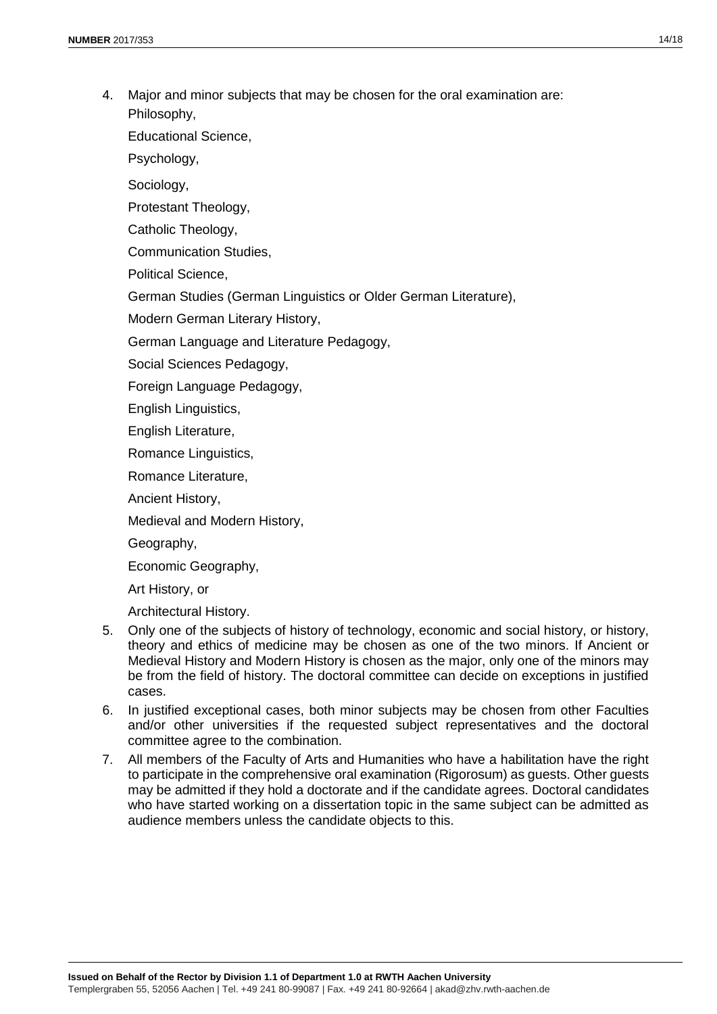4. Major and minor subjects that may be chosen for the oral examination are: Philosophy,

Educational Science,

Psychology,

Sociology,

Protestant Theology,

Catholic Theology,

Communication Studies,

Political Science,

German Studies (German Linguistics or Older German Literature),

Modern German Literary History,

German Language and Literature Pedagogy,

Social Sciences Pedagogy,

Foreign Language Pedagogy,

English Linguistics,

English Literature,

Romance Linguistics,

Romance Literature,

Ancient History,

Medieval and Modern History,

Geography,

Economic Geography,

Art History, or

Architectural History.

- 5. Only one of the subjects of history of technology, economic and social history, or history, theory and ethics of medicine may be chosen as one of the two minors. If Ancient or Medieval History and Modern History is chosen as the major, only one of the minors may be from the field of history. The doctoral committee can decide on exceptions in justified cases.
- 6. In justified exceptional cases, both minor subjects may be chosen from other Faculties and/or other universities if the requested subject representatives and the doctoral committee agree to the combination.
- 7. All members of the Faculty of Arts and Humanities who have a habilitation have the right to participate in the comprehensive oral examination (Rigorosum) as guests. Other guests may be admitted if they hold a doctorate and if the candidate agrees. Doctoral candidates who have started working on a dissertation topic in the same subject can be admitted as audience members unless the candidate objects to this.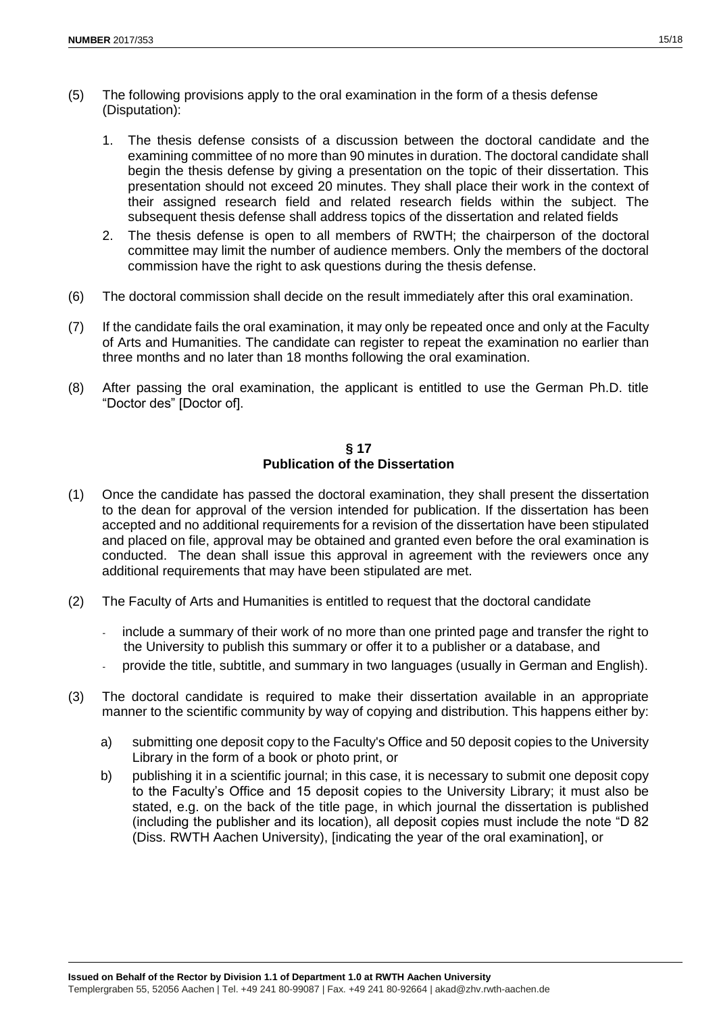- (5) The following provisions apply to the oral examination in the form of a thesis defense (Disputation):
	- 1. The thesis defense consists of a discussion between the doctoral candidate and the examining committee of no more than 90 minutes in duration. The doctoral candidate shall begin the thesis defense by giving a presentation on the topic of their dissertation. This presentation should not exceed 20 minutes. They shall place their work in the context of their assigned research field and related research fields within the subject. The subsequent thesis defense shall address topics of the dissertation and related fields
	- 2. The thesis defense is open to all members of RWTH; the chairperson of the doctoral committee may limit the number of audience members. Only the members of the doctoral commission have the right to ask questions during the thesis defense.
- (6) The doctoral commission shall decide on the result immediately after this oral examination.
- (7) If the candidate fails the oral examination, it may only be repeated once and only at the Faculty of Arts and Humanities. The candidate can register to repeat the examination no earlier than three months and no later than 18 months following the oral examination.
- (8) After passing the oral examination, the applicant is entitled to use the German Ph.D. title "Doctor des" [Doctor of].

## **§ 17 Publication of the Dissertation**

- (1) Once the candidate has passed the doctoral examination, they shall present the dissertation to the dean for approval of the version intended for publication. If the dissertation has been accepted and no additional requirements for a revision of the dissertation have been stipulated and placed on file, approval may be obtained and granted even before the oral examination is conducted. The dean shall issue this approval in agreement with the reviewers once any additional requirements that may have been stipulated are met.
- (2) The Faculty of Arts and Humanities is entitled to request that the doctoral candidate
	- include a summary of their work of no more than one printed page and transfer the right to the University to publish this summary or offer it to a publisher or a database, and
	- provide the title, subtitle, and summary in two languages (usually in German and English).
- (3) The doctoral candidate is required to make their dissertation available in an appropriate manner to the scientific community by way of copying and distribution. This happens either by:
	- a) submitting one deposit copy to the Faculty's Office and 50 deposit copies to the University Library in the form of a book or photo print, or
	- b) publishing it in a scientific journal; in this case, it is necessary to submit one deposit copy to the Faculty's Office and 15 deposit copies to the University Library; it must also be stated, e.g. on the back of the title page, in which journal the dissertation is published (including the publisher and its location), all deposit copies must include the note "D 82 (Diss. RWTH Aachen University), [indicating the year of the oral examination], or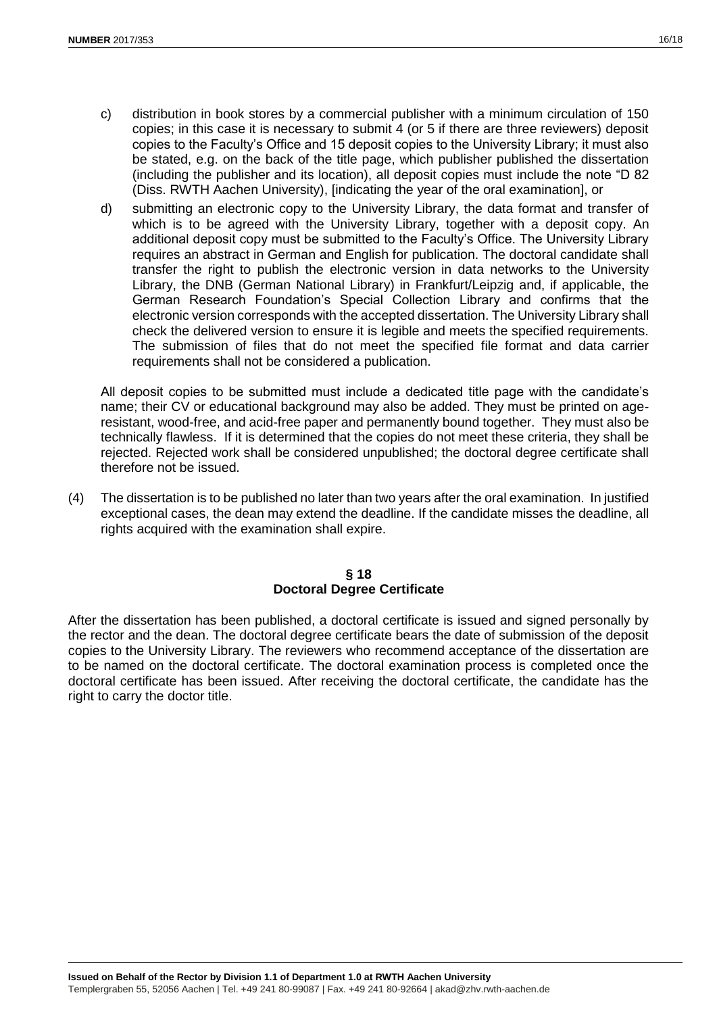- c) distribution in book stores by a commercial publisher with a minimum circulation of 150 copies; in this case it is necessary to submit 4 (or 5 if there are three reviewers) deposit copies to the Faculty's Office and 15 deposit copies to the University Library; it must also be stated, e.g. on the back of the title page, which publisher published the dissertation (including the publisher and its location), all deposit copies must include the note "D 82 (Diss. RWTH Aachen University), [indicating the year of the oral examination], or
- d) submitting an electronic copy to the University Library, the data format and transfer of which is to be agreed with the University Library, together with a deposit copy. An additional deposit copy must be submitted to the Faculty's Office. The University Library requires an abstract in German and English for publication. The doctoral candidate shall transfer the right to publish the electronic version in data networks to the University Library, the DNB (German National Library) in Frankfurt/Leipzig and, if applicable, the German Research Foundation's Special Collection Library and confirms that the electronic version corresponds with the accepted dissertation. The University Library shall check the delivered version to ensure it is legible and meets the specified requirements. The submission of files that do not meet the specified file format and data carrier requirements shall not be considered a publication.

All deposit copies to be submitted must include a dedicated title page with the candidate's name; their CV or educational background may also be added. They must be printed on ageresistant, wood-free, and acid-free paper and permanently bound together. They must also be technically flawless. If it is determined that the copies do not meet these criteria, they shall be rejected. Rejected work shall be considered unpublished; the doctoral degree certificate shall therefore not be issued.

(4) The dissertation is to be published no later than two years after the oral examination. In justified exceptional cases, the dean may extend the deadline. If the candidate misses the deadline, all rights acquired with the examination shall expire.

## **§ 18 Doctoral Degree Certificate**

After the dissertation has been published, a doctoral certificate is issued and signed personally by the rector and the dean. The doctoral degree certificate bears the date of submission of the deposit copies to the University Library. The reviewers who recommend acceptance of the dissertation are to be named on the doctoral certificate. The doctoral examination process is completed once the doctoral certificate has been issued. After receiving the doctoral certificate, the candidate has the right to carry the doctor title.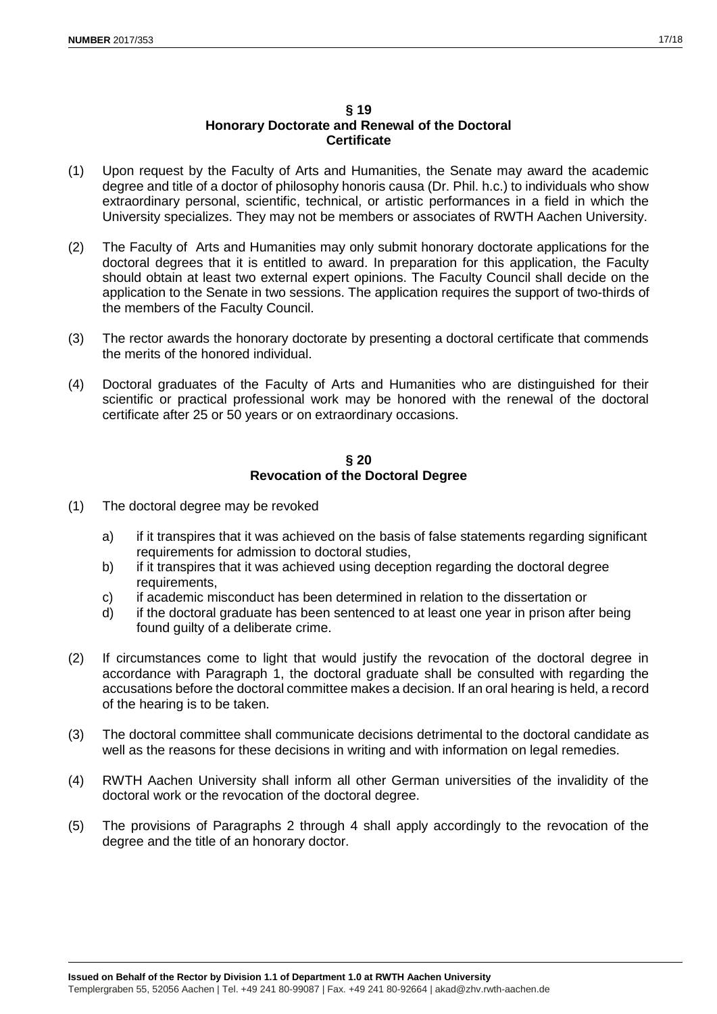## **§ 19 Honorary Doctorate and Renewal of the Doctoral Certificate**

- (1) Upon request by the Faculty of Arts and Humanities, the Senate may award the academic degree and title of a doctor of philosophy honoris causa (Dr. Phil. h.c.) to individuals who show extraordinary personal, scientific, technical, or artistic performances in a field in which the University specializes. They may not be members or associates of RWTH Aachen University.
- (2) The Faculty of Arts and Humanities may only submit honorary doctorate applications for the doctoral degrees that it is entitled to award. In preparation for this application, the Faculty should obtain at least two external expert opinions. The Faculty Council shall decide on the application to the Senate in two sessions. The application requires the support of two-thirds of the members of the Faculty Council.
- (3) The rector awards the honorary doctorate by presenting a doctoral certificate that commends the merits of the honored individual.
- (4) Doctoral graduates of the Faculty of Arts and Humanities who are distinguished for their scientific or practical professional work may be honored with the renewal of the doctoral certificate after 25 or 50 years or on extraordinary occasions.

## **§ 20 Revocation of the Doctoral Degree**

- (1) The doctoral degree may be revoked
	- a) if it transpires that it was achieved on the basis of false statements regarding significant requirements for admission to doctoral studies,
	- b) if it transpires that it was achieved using deception regarding the doctoral degree requirements,
	- c) if academic misconduct has been determined in relation to the dissertation or
	- d) if the doctoral graduate has been sentenced to at least one year in prison after being found guilty of a deliberate crime.
- (2) If circumstances come to light that would justify the revocation of the doctoral degree in accordance with Paragraph 1, the doctoral graduate shall be consulted with regarding the accusations before the doctoral committee makes a decision. If an oral hearing is held, a record of the hearing is to be taken.
- (3) The doctoral committee shall communicate decisions detrimental to the doctoral candidate as well as the reasons for these decisions in writing and with information on legal remedies.
- (4) RWTH Aachen University shall inform all other German universities of the invalidity of the doctoral work or the revocation of the doctoral degree.
- (5) The provisions of Paragraphs 2 through 4 shall apply accordingly to the revocation of the degree and the title of an honorary doctor.